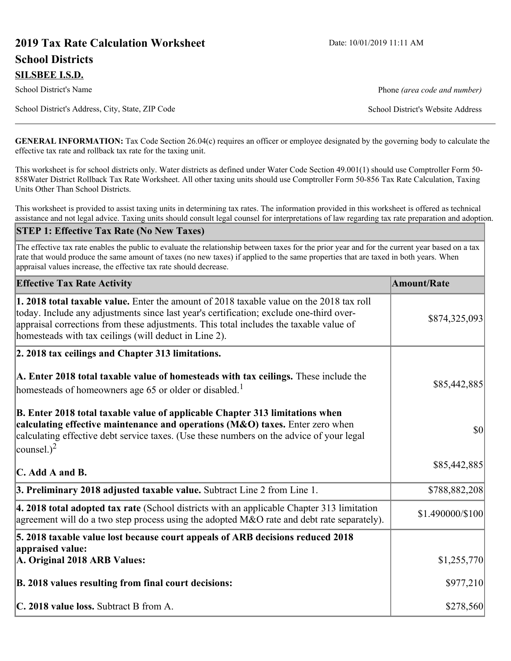# **2019 Tax Rate Calculation Worksheet** Date: 10/01/2019 11:11 AM **School Districts**

**SILSBEE I.S.D.**

School District's Name **Phone** *(area code and number)* Phone *(area code and number)* 

School District's Address, City, State, ZIP Code School District's Website Address

**GENERAL INFORMATION:** Tax Code Section 26.04(c) requires an officer or employee designated by the governing body to calculate the effective tax rate and rollback tax rate for the taxing unit.

This worksheet is for school districts only. Water districts as defined under Water Code Section 49.001(1) should use Comptroller Form 50- 858Water District Rollback Tax Rate Worksheet. All other taxing units should use Comptroller Form 50-856 Tax Rate Calculation, Taxing Units Other Than School Districts.

This worksheet is provided to assist taxing units in determining tax rates. The information provided in this worksheet is offered as technical assistance and not legal advice. Taxing units should consult legal counsel for interpretations of law regarding tax rate preparation and adoption.

#### **STEP 1: Effective Tax Rate (No New Taxes)**

The effective tax rate enables the public to evaluate the relationship between taxes for the prior year and for the current year based on a tax rate that would produce the same amount of taxes (no new taxes) if applied to the same properties that are taxed in both years. When appraisal values increase, the effective tax rate should decrease.

| <b>Effective Tax Rate Activity</b>                                                                                                                                                                                                                                                                                                     | <b>Amount/Rate</b> |
|----------------------------------------------------------------------------------------------------------------------------------------------------------------------------------------------------------------------------------------------------------------------------------------------------------------------------------------|--------------------|
| 1. 2018 total taxable value. Enter the amount of 2018 taxable value on the 2018 tax roll<br>today. Include any adjustments since last year's certification; exclude one-third over-<br>appraisal corrections from these adjustments. This total includes the taxable value of<br>homesteads with tax ceilings (will deduct in Line 2). | \$874,325,093      |
| 2. 2018 tax ceilings and Chapter 313 limitations.                                                                                                                                                                                                                                                                                      |                    |
| A. Enter 2018 total taxable value of homesteads with tax ceilings. These include the<br>homesteads of homeowners age 65 or older or disabled. <sup>1</sup>                                                                                                                                                                             | \$85,442,885       |
| B. Enter 2018 total taxable value of applicable Chapter 313 limitations when<br>calculating effective maintenance and operations (M&O) taxes. Enter zero when<br>calculating effective debt service taxes. (Use these numbers on the advice of your legal<br>counsel.) <sup>2</sup>                                                    | $ 10\rangle$       |
| $\mathbf C$ . Add A and B.                                                                                                                                                                                                                                                                                                             | \$85,442,885       |
| 3. Preliminary 2018 adjusted taxable value. Subtract Line 2 from Line 1.                                                                                                                                                                                                                                                               | \$788,882,208      |
| 4. 2018 total adopted tax rate (School districts with an applicable Chapter 313 limitation<br>agreement will do a two step process using the adopted M&O rate and debt rate separately).                                                                                                                                               | \$1.490000/\$100   |
| 5. 2018 taxable value lost because court appeals of ARB decisions reduced 2018                                                                                                                                                                                                                                                         |                    |
| appraised value:<br>A. Original 2018 ARB Values:                                                                                                                                                                                                                                                                                       | \$1,255,770        |
| B. 2018 values resulting from final court decisions:                                                                                                                                                                                                                                                                                   | \$977,210          |
| C. 2018 value loss. Subtract B from A.                                                                                                                                                                                                                                                                                                 | \$278,560          |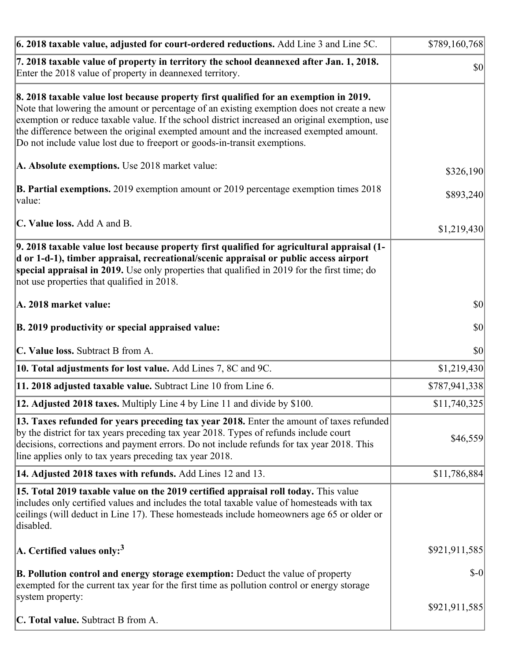| $\vert$ 6. 2018 taxable value, adjusted for court-ordered reductions. Add Line 3 and Line 5C.                                                                                                                                                                                                                                                                                                                                                                | \$789,160,768 |
|--------------------------------------------------------------------------------------------------------------------------------------------------------------------------------------------------------------------------------------------------------------------------------------------------------------------------------------------------------------------------------------------------------------------------------------------------------------|---------------|
| 7. 2018 taxable value of property in territory the school deannexed after Jan. 1, 2018.<br>Enter the 2018 value of property in deannexed territory.                                                                                                                                                                                                                                                                                                          | $ 10\rangle$  |
| 8. 2018 taxable value lost because property first qualified for an exemption in 2019.<br>Note that lowering the amount or percentage of an existing exemption does not create a new<br>exemption or reduce taxable value. If the school district increased an original exemption, use<br>the difference between the original exempted amount and the increased exempted amount.<br>Do not include value lost due to freeport or goods-in-transit exemptions. |               |
| A. Absolute exemptions. Use 2018 market value:                                                                                                                                                                                                                                                                                                                                                                                                               | \$326,190     |
| <b>B. Partial exemptions.</b> 2019 exemption amount or 2019 percentage exemption times 2018<br>$\vert$ value:                                                                                                                                                                                                                                                                                                                                                | \$893,240     |
| C. Value loss. Add A and B.                                                                                                                                                                                                                                                                                                                                                                                                                                  | \$1,219,430   |
| 9. 2018 taxable value lost because property first qualified for agricultural appraisal (1-<br>d or 1-d-1), timber appraisal, recreational/scenic appraisal or public access airport<br>special appraisal in 2019. Use only properties that qualified in 2019 for the first time; do<br>not use properties that qualified in 2018.                                                                                                                            |               |
| A. 2018 market value:                                                                                                                                                                                                                                                                                                                                                                                                                                        | $ 10\rangle$  |
| B. 2019 productivity or special appraised value:                                                                                                                                                                                                                                                                                                                                                                                                             | \$0           |
| C. Value loss. Subtract B from A.                                                                                                                                                                                                                                                                                                                                                                                                                            | \$0           |
| 10. Total adjustments for lost value. Add Lines 7, 8C and 9C.                                                                                                                                                                                                                                                                                                                                                                                                | \$1,219,430   |
| 11. 2018 adjusted taxable value. Subtract Line 10 from Line 6.                                                                                                                                                                                                                                                                                                                                                                                               | \$787,941,338 |
| 12. Adjusted 2018 taxes. Multiply Line 4 by Line 11 and divide by \$100.                                                                                                                                                                                                                                                                                                                                                                                     | \$11,740,325  |
| [13. Taxes refunded for years preceding tax year 2018. Enter the amount of taxes refunded]<br>by the district for tax years preceding tax year 2018. Types of refunds include court<br>decisions, corrections and payment errors. Do not include refunds for tax year 2018. This<br>line applies only to tax years preceding tax year 2018.                                                                                                                  | \$46,559      |
| 14. Adjusted 2018 taxes with refunds. Add Lines 12 and 13.                                                                                                                                                                                                                                                                                                                                                                                                   | \$11,786,884  |
| 15. Total 2019 taxable value on the 2019 certified appraisal roll today. This value<br>includes only certified values and includes the total taxable value of homesteads with tax<br>ceilings (will deduct in Line 17). These homesteads include homeowners age 65 or older or<br>disabled.                                                                                                                                                                  |               |
| $ A$ . Certified values only: <sup>3</sup>                                                                                                                                                                                                                                                                                                                                                                                                                   | \$921,911,585 |
| <b>B. Pollution control and energy storage exemption:</b> Deduct the value of property<br>exempted for the current tax year for the first time as pollution control or energy storage<br>system property:                                                                                                                                                                                                                                                    | $$-0$         |
| <b>C. Total value.</b> Subtract B from A.                                                                                                                                                                                                                                                                                                                                                                                                                    | \$921,911,585 |
|                                                                                                                                                                                                                                                                                                                                                                                                                                                              |               |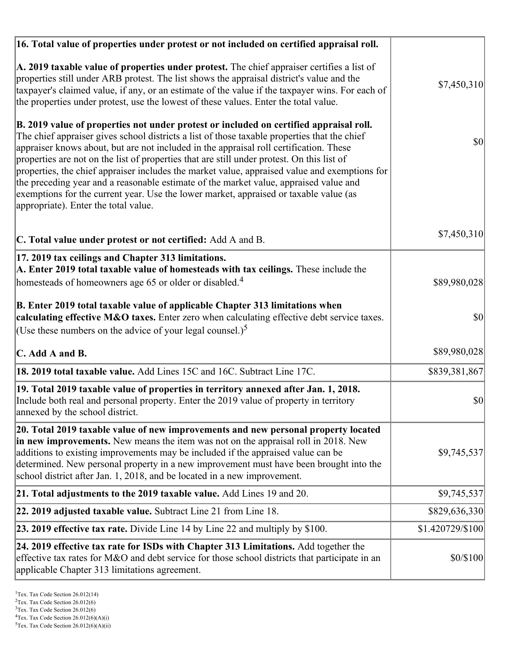| 16. Total value of properties under protest or not included on certified appraisal roll.                                                                                                                                                                                                                                                                                                                                                                                                                                                                                                                                                                                                                  |                  |
|-----------------------------------------------------------------------------------------------------------------------------------------------------------------------------------------------------------------------------------------------------------------------------------------------------------------------------------------------------------------------------------------------------------------------------------------------------------------------------------------------------------------------------------------------------------------------------------------------------------------------------------------------------------------------------------------------------------|------------------|
| A. 2019 taxable value of properties under protest. The chief appraiser certifies a list of<br>properties still under ARB protest. The list shows the appraisal district's value and the<br>taxpayer's claimed value, if any, or an estimate of the value if the taxpayer wins. For each of<br>the properties under protest, use the lowest of these values. Enter the total value.                                                                                                                                                                                                                                                                                                                        | \$7,450,310      |
| B. 2019 value of properties not under protest or included on certified appraisal roll.<br>The chief appraiser gives school districts a list of those taxable properties that the chief<br>appraiser knows about, but are not included in the appraisal roll certification. These<br>properties are not on the list of properties that are still under protest. On this list of<br>properties, the chief appraiser includes the market value, appraised value and exemptions for<br>the preceding year and a reasonable estimate of the market value, appraised value and<br>exemptions for the current year. Use the lower market, appraised or taxable value (as<br>appropriate). Enter the total value. | 30               |
| C. Total value under protest or not certified: Add A and B.                                                                                                                                                                                                                                                                                                                                                                                                                                                                                                                                                                                                                                               | \$7,450,310      |
| 17. 2019 tax ceilings and Chapter 313 limitations.<br>A. Enter 2019 total taxable value of homesteads with tax ceilings. These include the<br>homesteads of homeowners age 65 or older or disabled. <sup>4</sup>                                                                                                                                                                                                                                                                                                                                                                                                                                                                                          | \$89,980,028     |
| B. Enter 2019 total taxable value of applicable Chapter 313 limitations when<br>calculating effective M&O taxes. Enter zero when calculating effective debt service taxes.<br>(Use these numbers on the advice of your legal counsel.) <sup>5</sup>                                                                                                                                                                                                                                                                                                                                                                                                                                                       | \$0              |
| C. Add A and B.                                                                                                                                                                                                                                                                                                                                                                                                                                                                                                                                                                                                                                                                                           | \$89,980,028     |
| 18. 2019 total taxable value. Add Lines 15C and 16C. Subtract Line 17C.                                                                                                                                                                                                                                                                                                                                                                                                                                                                                                                                                                                                                                   | \$839,381,867    |
| 19. Total 2019 taxable value of properties in territory annexed after Jan. 1, 2018.<br>Include both real and personal property. Enter the 2019 value of property in territory<br>annexed by the school district.                                                                                                                                                                                                                                                                                                                                                                                                                                                                                          | \$0              |
| 20. Total 2019 taxable value of new improvements and new personal property located<br>in new improvements. New means the item was not on the appraisal roll in 2018. New<br>additions to existing improvements may be included if the appraised value can be<br>determined. New personal property in a new improvement must have been brought into the<br>school district after Jan. 1, 2018, and be located in a new improvement.                                                                                                                                                                                                                                                                        | \$9,745,537      |
| 21. Total adjustments to the 2019 taxable value. Add Lines 19 and 20.                                                                                                                                                                                                                                                                                                                                                                                                                                                                                                                                                                                                                                     | \$9,745,537      |
| <b>22. 2019 adjusted taxable value.</b> Subtract Line 21 from Line 18.                                                                                                                                                                                                                                                                                                                                                                                                                                                                                                                                                                                                                                    | \$829,636,330    |
| 23. 2019 effective tax rate. Divide Line 14 by Line 22 and multiply by \$100.                                                                                                                                                                                                                                                                                                                                                                                                                                                                                                                                                                                                                             | \$1.420729/\$100 |
| 24. 2019 effective tax rate for ISDs with Chapter 313 Limitations. Add together the<br>effective tax rates for M&O and debt service for those school districts that participate in an<br>applicable Chapter 313 limitations agreement.                                                                                                                                                                                                                                                                                                                                                                                                                                                                    | \$0/\$100        |

<sup>&</sup>lt;sup>1</sup>Tex. Tax Code Section 26.012(14)

 $2$ Tex. Tax Code Section 26.012(6)

<sup>&</sup>lt;sup>3</sup>Tex. Tax Code Section 26.012(6)

 ${}^{4}$ Tex. Tax Code Section 26.012(6)(A)(i)

 $5$ Tex. Tax Code Section 26.012(6)(A)(ii)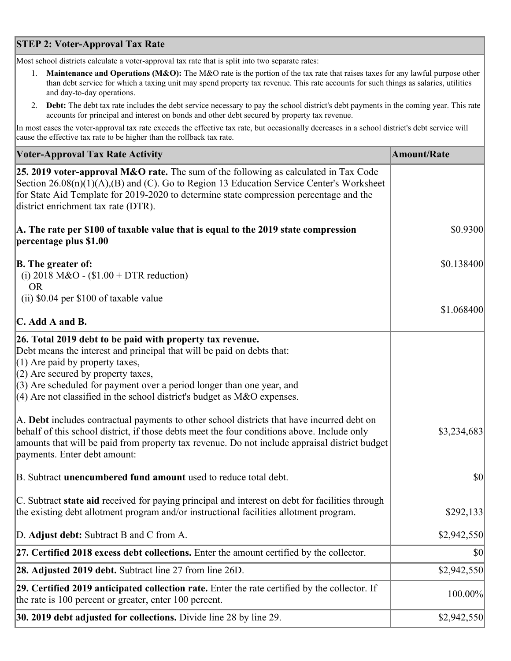## **STEP 2: Voter-Approval Tax Rate**

Most school districts calculate a voter-approval tax rate that is split into two separate rates:

- 1. **Maintenance and Operations (M&O):** The M&O rate is the portion of the tax rate that raises taxes for any lawful purpose other than debt service for which a taxing unit may spend property tax revenue. This rate accounts for such things as salaries, utilities and day-to-day operations.
- 2. **Debt:** The debt tax rate includes the debt service necessary to pay the school district's debt payments in the coming year. This rate accounts for principal and interest on bonds and other debt secured by property tax revenue.

In most cases the voter-approval tax rate exceeds the effective tax rate, but occasionally decreases in a school district's debt service will cause the effective tax rate to be higher than the rollback tax rate.

| <b>Voter-Approval Tax Rate Activity</b>                                                                                                                                                                                                                                                                                                                                  | <b>Amount/Rate</b> |
|--------------------------------------------------------------------------------------------------------------------------------------------------------------------------------------------------------------------------------------------------------------------------------------------------------------------------------------------------------------------------|--------------------|
| 25. 2019 voter-approval M&O rate. The sum of the following as calculated in Tax Code<br>Section 26.08(n)(1)(A),(B) and (C). Go to Region 13 Education Service Center's Worksheet<br>for State Aid Template for 2019-2020 to determine state compression percentage and the<br>district enrichment tax rate (DTR).                                                        |                    |
| A. The rate per \$100 of taxable value that is equal to the 2019 state compression<br>percentage plus \$1.00                                                                                                                                                                                                                                                             | \$0.9300           |
| <b>B.</b> The greater of:<br>(i) 2018 M&O - $$1.00 + DTR$ reduction)<br><b>OR</b>                                                                                                                                                                                                                                                                                        | \$0.138400         |
| (ii) \$0.04 per \$100 of taxable value                                                                                                                                                                                                                                                                                                                                   |                    |
| $\mathbf C$ . Add A and B.                                                                                                                                                                                                                                                                                                                                               | \$1.068400         |
| 26. Total 2019 debt to be paid with property tax revenue.<br>Debt means the interest and principal that will be paid on debts that:<br>$(1)$ Are paid by property taxes,<br>$(2)$ Are secured by property taxes,<br>$(3)$ Are scheduled for payment over a period longer than one year, and<br>(4) Are not classified in the school district's budget as $M&O$ expenses. |                    |
| A. Debt includes contractual payments to other school districts that have incurred debt on<br>behalf of this school district, if those debts meet the four conditions above. Include only<br>amounts that will be paid from property tax revenue. Do not include appraisal district budget<br>payments. Enter debt amount:                                               | \$3,234,683        |
| B. Subtract unencumbered fund amount used to reduce total debt.                                                                                                                                                                                                                                                                                                          | $ 10\rangle$       |
| C. Subtract state aid received for paying principal and interest on debt for facilities through<br>the existing debt allotment program and/or instructional facilities allotment program.                                                                                                                                                                                | \$292,133          |
| D. Adjust debt: Subtract B and C from A.                                                                                                                                                                                                                                                                                                                                 | \$2,942,550        |
| 27. Certified 2018 excess debt collections. Enter the amount certified by the collector.                                                                                                                                                                                                                                                                                 | \$0                |
| <b>28. Adjusted 2019 debt.</b> Subtract line 27 from line 26D.                                                                                                                                                                                                                                                                                                           | \$2,942,550        |
| 29. Certified 2019 anticipated collection rate. Enter the rate certified by the collector. If<br>the rate is 100 percent or greater, enter 100 percent.                                                                                                                                                                                                                  | 100.00%            |
| 30. 2019 debt adjusted for collections. Divide line 28 by line 29.                                                                                                                                                                                                                                                                                                       | \$2,942,550        |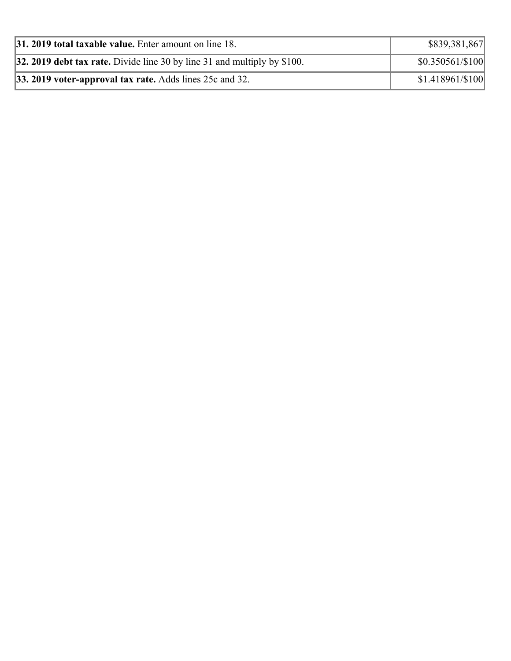| <b>31. 2019 total taxable value.</b> Enter amount on line 18.              | \$839,381,867     |
|----------------------------------------------------------------------------|-------------------|
| 32. 2019 debt tax rate. Divide line 30 by line 31 and multiply by $$100$ . | $$0.350561/\$100$ |
| 33. 2019 voter-approval tax rate. Adds lines 25c and 32.                   | $$1.418961/\$100$ |